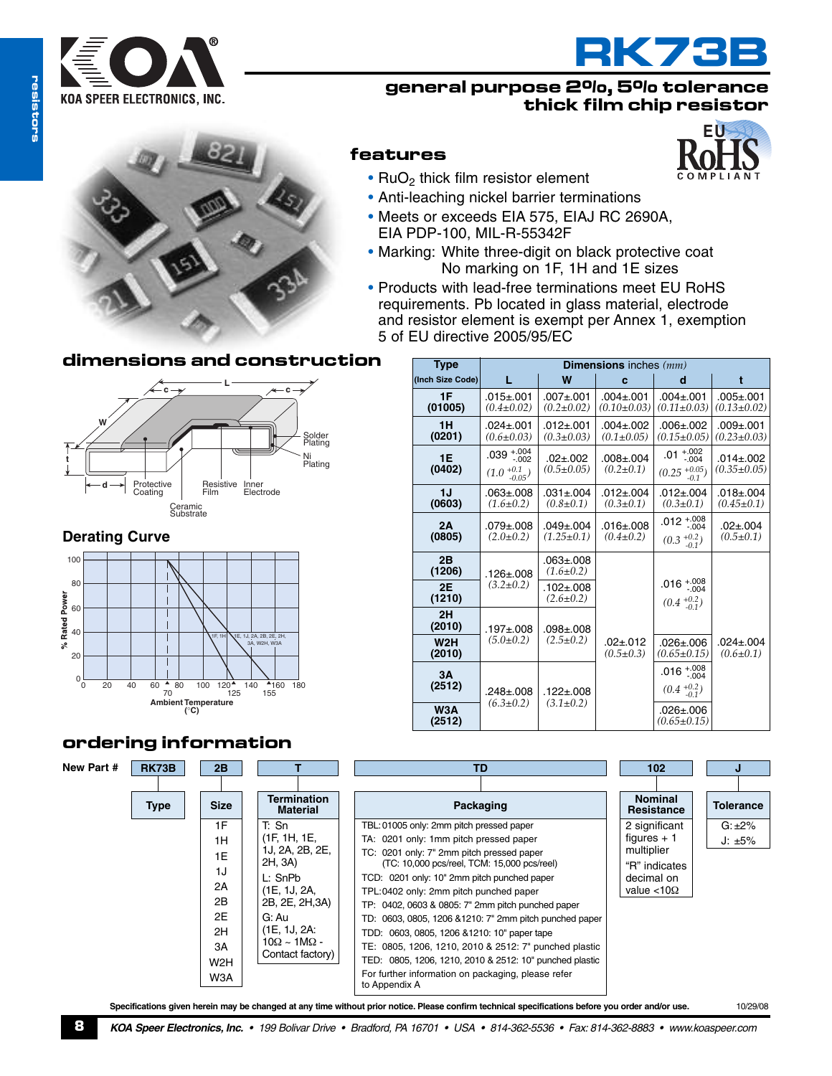



**EU**

### **general purpose 2%, 5% tolerance thick film chip resistor**



### **dimensions and construction Type**



### **Derating Curve**



# **features**

- RuO<sub>2</sub> thick film resistor element
- Anti-leaching nickel barrier terminations
- Meets or exceeds EIA 575, EIAJ RC 2690A, EIA PDP-100, MIL-R-55342F
- Marking: White three-digit on black protective coat No marking on 1F, 1H and 1E sizes
- Products with lead-free terminations meet EU RoHS requirements. Pb located in glass material, electrode and resistor element is exempt per Annex 1, exemption 5 of EU directive 2005/95/EC

| <b>Type</b>         | <b>Dimensions</b> inches $(mm)$              |                                    |                                    |                                                   |                                      |  |
|---------------------|----------------------------------------------|------------------------------------|------------------------------------|---------------------------------------------------|--------------------------------------|--|
| (Inch Size Code)    | T.                                           | W                                  | c                                  | d                                                 | t                                    |  |
| 1F<br>(01005)       | $.015 + .001$<br>$(0.4 \pm 0.02)$            | $.007 + .001$<br>$(0.2 \pm 0.02)$  | $.004 + .001$<br>$(0.10 \pm 0.03)$ | $.004 + .001$<br>$(0.11 \pm 0.03)$                | $.005 + .001$<br>$(0.13 \pm 0.02)$   |  |
| 1H<br>(0201)        | $.024 \pm .001$<br>$(0.6 \pm 0.03)$          | $.012 + .001$<br>$(0.3 \pm 0.03)$  | $.004 + .002$<br>$(0.1 \pm 0.05)$  | $.006 + .002$<br>$(0.15 \pm 0.05)$                | $.009 + .001$<br>$(0.23 \pm 0.03)$   |  |
| 1E<br>(0402)        | $.039^{+.004}_{-.002}$<br>$(1.0 + 0.1-0.05)$ | $.02 + .002$<br>$(0.5 \pm 0.05)$   | $.008 + .004$<br>$(0.2 \pm 0.1)$   | $.01^{+.002}_{-.004}$<br>$(0.25+0.05-0.1)$        | $.014 \pm .002$<br>$(0.35 \pm 0.05)$ |  |
| 1J<br>(0603)        | $.063 + .008$<br>$(1.6 \pm 0.2)$             | $.031 \pm .004$<br>$(0.8 \pm 0.1)$ | $.012 + .004$<br>$(0.3 \pm 0.1)$   | $.012 + .004$<br>$(0.3 \pm 0.1)$                  | $.018 \pm .004$<br>$(0.45 \pm 0.1)$  |  |
| 2A<br>(0805)        | $.079 + .008$<br>$(2.0 \pm 0.2)$             | $.049 + .004$<br>$(1.25 \pm 0.1)$  | $.016 + .008$<br>$(0.4 \pm 0.2)$   | $.012^{+.008}_{-.004}$<br>$(0.3 + 0.2)$           | $.02 + .004$<br>$(0.5 \pm 0.1)$      |  |
| 2B<br>(1206)        | $.126 \pm .008$                              | $.063 + .008$<br>$(1.6 \pm 0.2)$   |                                    |                                                   |                                      |  |
| <b>2E</b><br>(1210) | $(3.2 \pm 0.2)$                              | $.102 + .008$<br>$(2.6 \pm 0.2)$   |                                    | .016 $^{+.008}_{-.004}$<br>$(0.4)^{+0.2}_{-0.1})$ |                                      |  |
| 2H<br>(2010)        | $.197 + .008$<br>$(5.0 \pm 0.2)$             | $.098 + .008$<br>$(2.5 \pm 0.2)$   |                                    |                                                   |                                      |  |
| W2H<br>(2010)       |                                              |                                    | $.02 + .012$<br>$(0.5 \pm 0.3)$    | $.026 + .006$<br>$(0.65 \pm 0.15)$                | $.024 \pm .004$<br>$(0.6 \pm 0.1)$   |  |
| 3A<br>(2512)        | .248±.008                                    | .122±.008<br>$(3.1 \pm 0.2)$       |                                    | .016 $^{+.008}_{-.004}$<br>$(0.4+0.2-0.1)$        |                                      |  |
| W3A<br>(2512)       | $(6.3 \pm 0.2)$                              |                                    |                                    | $.026 + .006$<br>$(0.65 \pm 0.15)$                |                                      |  |

# **ordering information**



Specifications given herein may be changed at any time without prior notice. Please confirm technical specifications before you order and/or use. 10/29/08